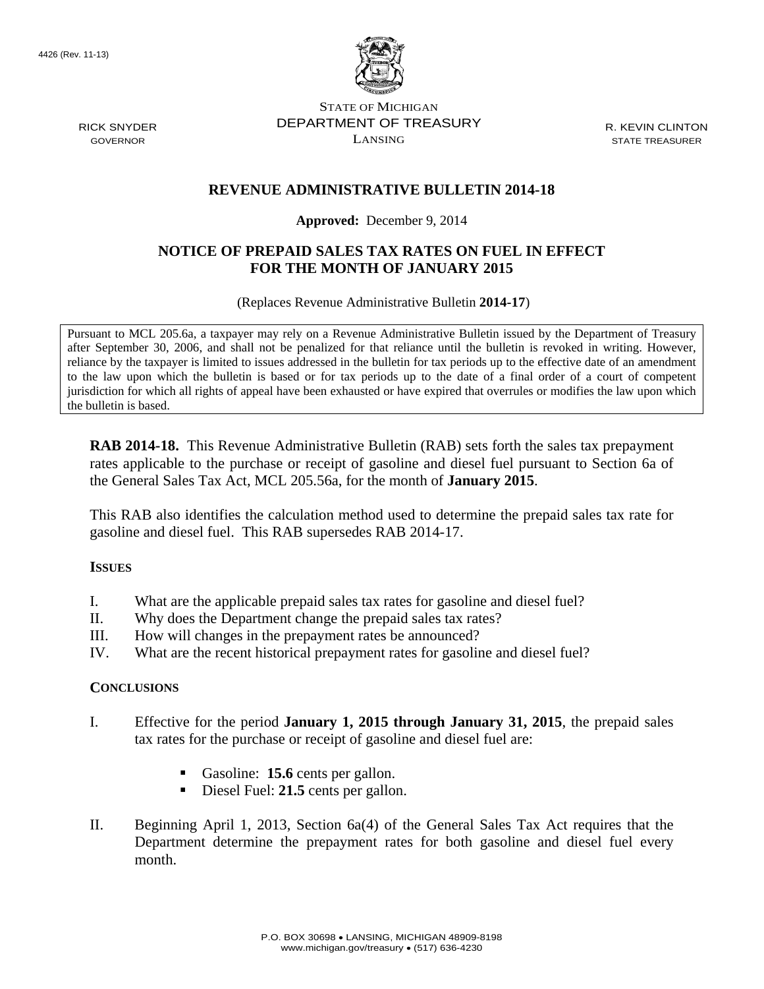

STATE OF MICHIGAN DEPARTMENT OF TREASURY LANSING

R. KEVIN CLINTON STATE TREASURER

### **REVENUE ADMINISTRATIVE BULLETIN 2014-18**

#### **Approved:** December 9, 2014

## **NOTICE OF PREPAID SALES TAX RATES ON FUEL IN EFFECT FOR THE MONTH OF JANUARY 2015**

(Replaces Revenue Administrative Bulletin **2014-17**)

Pursuant to MCL 205.6a, a taxpayer may rely on a Revenue Administrative Bulletin issued by the Department of Treasury after September 30, 2006, and shall not be penalized for that reliance until the bulletin is revoked in writing. However, reliance by the taxpayer is limited to issues addressed in the bulletin for tax periods up to the effective date of an amendment to the law upon which the bulletin is based or for tax periods up to the date of a final order of a court of competent jurisdiction for which all rights of appeal have been exhausted or have expired that overrules or modifies the law upon which the bulletin is based.

**RAB 2014-18.** This Revenue Administrative Bulletin (RAB) sets forth the sales tax prepayment rates applicable to the purchase or receipt of gasoline and diesel fuel pursuant to Section 6a of the General Sales Tax Act, MCL 205.56a, for the month of **January 2015**.

This RAB also identifies the calculation method used to determine the prepaid sales tax rate for gasoline and diesel fuel. This RAB supersedes RAB 2014-17.

#### **ISSUES**

- I. What are the applicable prepaid sales tax rates for gasoline and diesel fuel?
- II. Why does the Department change the prepaid sales tax rates?
- III. How will changes in the prepayment rates be announced?
- IV. What are the recent historical prepayment rates for gasoline and diesel fuel?

#### **CONCLUSIONS**

- I. Effective for the period **January 1, 2015 through January 31, 2015**, the prepaid sales tax rates for the purchase or receipt of gasoline and diesel fuel are:
	- Gasoline: **15.6** cents per gallon.
	- Diesel Fuel: 21.5 cents per gallon.
- II. Beginning April 1, 2013, Section 6a(4) of the General Sales Tax Act requires that the Department determine the prepayment rates for both gasoline and diesel fuel every month.

RICK SNYDER GOVERNOR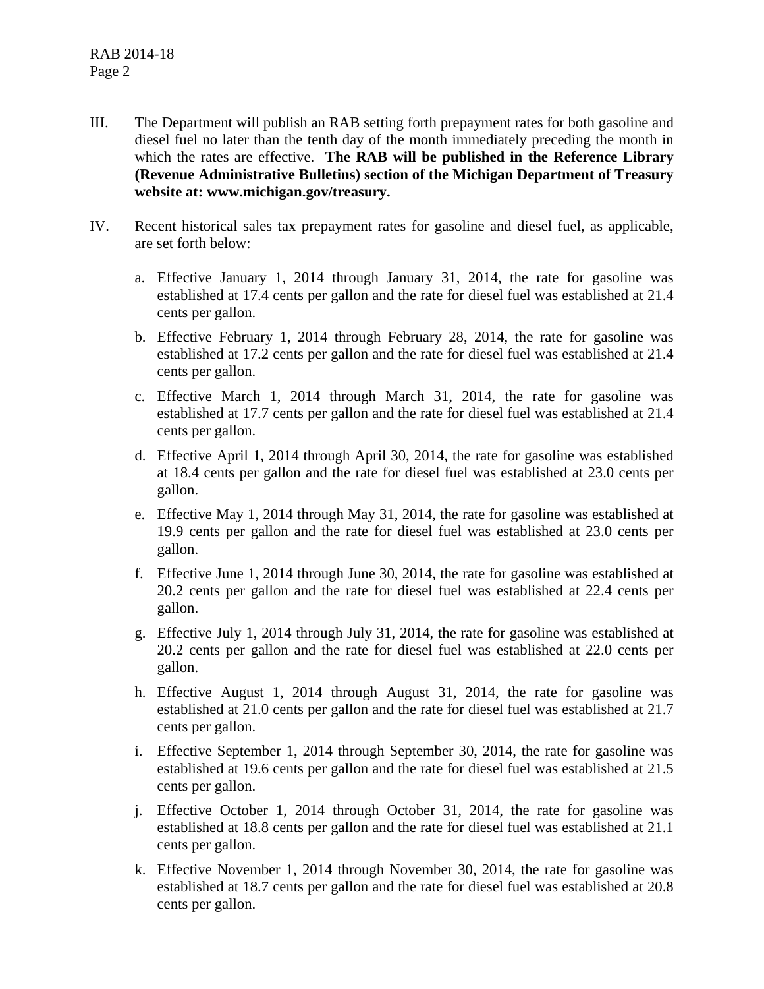- III. The Department will publish an RAB setting forth prepayment rates for both gasoline and diesel fuel no later than the tenth day of the month immediately preceding the month in which the rates are effective. **The RAB will be published in the Reference Library (Revenue Administrative Bulletins) section of the Michigan Department of Treasury website at: www.michigan.gov/treasury.**
- IV. Recent historical sales tax prepayment rates for gasoline and diesel fuel, as applicable, are set forth below:
	- a. Effective January 1, 2014 through January 31, 2014, the rate for gasoline was established at 17.4 cents per gallon and the rate for diesel fuel was established at 21.4 cents per gallon.
	- b. Effective February 1, 2014 through February 28, 2014, the rate for gasoline was established at 17.2 cents per gallon and the rate for diesel fuel was established at 21.4 cents per gallon.
	- c. Effective March 1, 2014 through March 31, 2014, the rate for gasoline was established at 17.7 cents per gallon and the rate for diesel fuel was established at 21.4 cents per gallon.
	- d. Effective April 1, 2014 through April 30, 2014, the rate for gasoline was established at 18.4 cents per gallon and the rate for diesel fuel was established at 23.0 cents per gallon.
	- e. Effective May 1, 2014 through May 31, 2014, the rate for gasoline was established at 19.9 cents per gallon and the rate for diesel fuel was established at 23.0 cents per gallon.
	- f. Effective June 1, 2014 through June 30, 2014, the rate for gasoline was established at 20.2 cents per gallon and the rate for diesel fuel was established at 22.4 cents per gallon.
	- g. Effective July 1, 2014 through July 31, 2014, the rate for gasoline was established at 20.2 cents per gallon and the rate for diesel fuel was established at 22.0 cents per gallon.
	- h. Effective August 1, 2014 through August 31, 2014, the rate for gasoline was established at 21.0 cents per gallon and the rate for diesel fuel was established at 21.7 cents per gallon.
	- i. Effective September 1, 2014 through September 30, 2014, the rate for gasoline was established at 19.6 cents per gallon and the rate for diesel fuel was established at 21.5 cents per gallon.
	- j. Effective October 1, 2014 through October 31, 2014, the rate for gasoline was established at 18.8 cents per gallon and the rate for diesel fuel was established at 21.1 cents per gallon.
	- k. Effective November 1, 2014 through November 30, 2014, the rate for gasoline was established at 18.7 cents per gallon and the rate for diesel fuel was established at 20.8 cents per gallon.